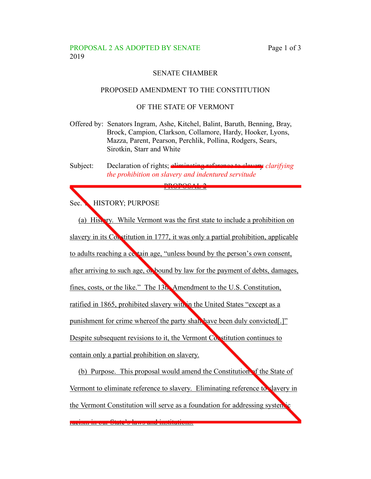## PROPOSAL 2 AS ADOPTED BY SENATE Page 1 of 3 2019

# SENATE CHAMBER

#### PROPOSED AMENDMENT TO THE CONSTITUTION

### OF THE STATE OF VERMONT

- Offered by: Senators Ingram, Ashe, Kitchel, Balint, Baruth, Benning, Bray, Brock, Campion, Clarkson, Collamore, Hardy, Hooker, Lyons, Mazza, Parent, Pearson, Perchlik, Pollina, Rodgers, Sears, Sirotkin, Starr and White
- Subject: Declaration of rights; eliminating reference to slavery *clarifying the prohibition on slavery and indentured servitude*

PROPOSAL 2

Sec. HISTORY; PURPOSE

(a) History. While Vermont was the first state to include a prohibition on slavery in its Constitution in 1777, it was only a partial prohibition, applicable to adults reaching a certain age, "unless bound by the person's own consent, after arriving to such age, or bound by law for the payment of debts, damages, fines, costs, or the like." The 13th Amendment to the U.S. Constitution, ratified in 1865, prohibited slavery with in the United States "except as a punishment for crime whereof the party shall have been duly convicted[.]" Despite subsequent revisions to it, the Vermont Constitution continues to contain only a partial prohibition on slavery.

(b) Purpose. This proposal would amend the Constitution of the State of Vermont to eliminate reference to slavery. Eliminating reference to slavery in the Vermont Constitution will serve as a foundation for addressing systemic

racism in our State's laws and institutions.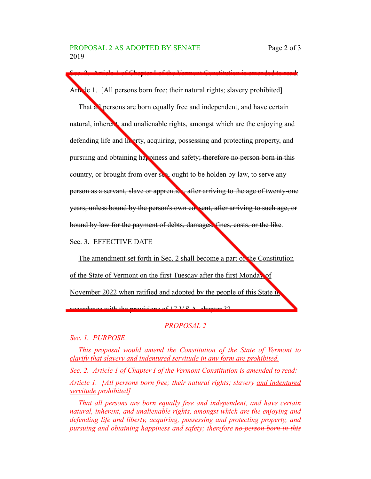Article 1. [All persons born free; their natural rights; slavery prohibited]

Sec. 2. Article 1 of Chapter I of the Vermont Constitution is amended to read:

That all persons are born equally free and independent, and have certain natural, inherent, and unalienable rights, amongst which are the enjoying and defending life and liberty, acquiring, possessing and protecting property, and pursuing and obtaining happiness and safety; therefore no person born in this country, or brought from over sea, ought to be holden by law, to serve any person as a servant, slave or apprentice, after arriving to the age of twenty-one years, unless bound by the person's own consent, after arriving to such age, or bound by law for the payment of debts, damages, fines, costs, or the like.

Sec. 3. EFFECTIVE DATE

The amendment set forth in Sec. 2 shall become a part of the Constitution of the State of Vermont on the first Tuesday after the first Monday of November 2022 when ratified and adopted by the people of this State in accordance with the provisions of 17 V.S. A. chapter 32.

#### *PROPOSAL 2*

*Sec. 1. PURPOSE*

*This proposal would amend the Constitution of the State of Vermont to clarify that slavery and indentured servitude in any form are prohibited.*

*Sec. 2. Article 1 of Chapter I of the Vermont Constitution is amended to read: Article 1. [All persons born free; their natural rights; slavery and indentured servitude prohibited]*

*That all persons are born equally free and independent, and have certain natural, inherent, and unalienable rights, amongst which are the enjoying and defending life and liberty, acquiring, possessing and protecting property, and pursuing and obtaining happiness and safety; therefore no person born in this*